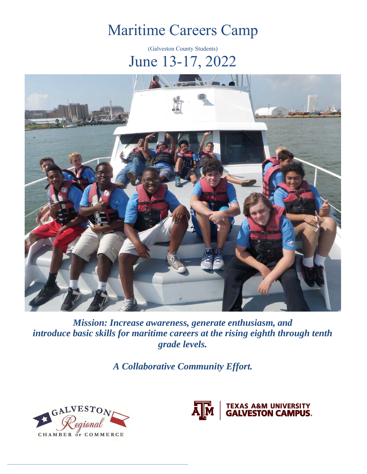# Maritime Careers Camp

(Galveston County Students) June 13-17, 2022



*Mission: Increase awareness, generate enthusiasm, and introduce basic skills for maritime careers at the rising eighth through tenth grade levels.*

*A Collaborative Community Effort.* 



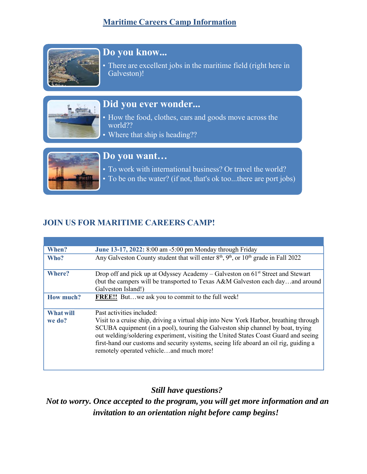### **Maritime Careers Camp Information**



# **Do you know...**

There are excellent jobs in the maritime field (right here in Galveston)!



### **Did you ever wonder...**

• How the food, clothes, cars and goods move across the world??

• Where that ship is heading??



#### **Do you want…**

- To work with international business? Or travel the world?
- To be on the water? (if not, that's ok too...there are port jobs)

#### **JOIN US FOR MARITIME CAREERS CAMP!**

| When?            | June 13-17, 2022: 8:00 am -5:00 pm Monday through Friday                                                                                                                                                                                                                                                                                                                                             |
|------------------|------------------------------------------------------------------------------------------------------------------------------------------------------------------------------------------------------------------------------------------------------------------------------------------------------------------------------------------------------------------------------------------------------|
| Who?             | Any Galveston County student that will enter $8th$ , $9th$ , or $10th$ grade in Fall 2022                                                                                                                                                                                                                                                                                                            |
| Where?           | Drop off and pick up at Odyssey Academy – Galveston on $61^{st}$ Street and Stewart<br>(but the campers will be transported to Texas A&M Galveston each dayand around<br>Galveston Island!)                                                                                                                                                                                                          |
| <b>How much?</b> | <b>FREE!!</b> Butwe ask you to commit to the full week!                                                                                                                                                                                                                                                                                                                                              |
| <b>What will</b> | Past activities included:                                                                                                                                                                                                                                                                                                                                                                            |
| we do?           | Visit to a cruise ship, driving a virtual ship into New York Harbor, breathing through<br>SCUBA equipment (in a pool), touring the Galveston ship channel by boat, trying<br>out welding/soldering experiment, visiting the United States Coast Guard and seeing<br>first-hand our customs and security systems, seeing life aboard an oil rig, guiding a<br>remotely operated vehicleand much more! |

*Still have questions?*

*Not to worry. Once accepted to the program, you will get more information and an invitation to an orientation night before camp begins!*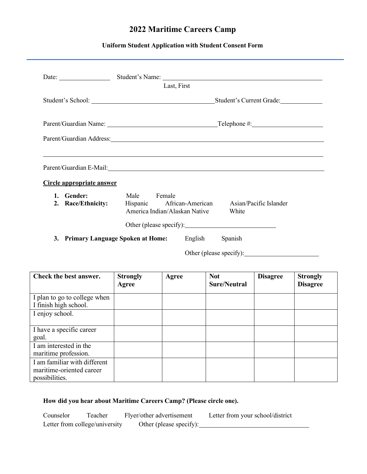## **2022 Maritime Careers Camp**

#### **Uniform Student Application with Student Consent Form**

|                               | Last, First                                                                                                                                                                                                                   |  |  |  |  |
|-------------------------------|-------------------------------------------------------------------------------------------------------------------------------------------------------------------------------------------------------------------------------|--|--|--|--|
|                               | Student's Current Grade:                                                                                                                                                                                                      |  |  |  |  |
|                               |                                                                                                                                                                                                                               |  |  |  |  |
|                               | Parent/Guardian Address: No. 2014 19:30 and 2014 19:30 and 2014 19:30 and 2014 19:30 and 2014 19:30 and 2014 1                                                                                                                |  |  |  |  |
| Circle appropriate answer     | Parent/Guardian E-Mail: 1990 and 2008 and 2009 and 2009 and 2009 and 2009 and 2009 and 2009 and 2009 and 2009 and 2009 and 2009 and 2009 and 2009 and 2009 and 2009 and 2009 and 2009 and 2009 and 2009 and 2009 and 2009 and |  |  |  |  |
| <b>Gender:</b><br>$1_{\cdot}$ | Male Female<br>2. Race/Ethnicity: Hispanic African-American Asian/Pacific Islander<br>America Indian/Alaskan Native White                                                                                                     |  |  |  |  |
|                               | Other (please specify):                                                                                                                                                                                                       |  |  |  |  |
|                               | <b>3. Primary Language Spoken at Home:</b> English Spanish                                                                                                                                                                    |  |  |  |  |
|                               | Other (please specify):                                                                                                                                                                                                       |  |  |  |  |

| Check the best answer.                                                     | <b>Strongly</b><br>Agree | Agree | <b>Not</b><br><b>Sure/Neutral</b> | <b>Disagree</b> | <b>Strongly</b><br><b>Disagree</b> |
|----------------------------------------------------------------------------|--------------------------|-------|-----------------------------------|-----------------|------------------------------------|
| I plan to go to college when<br>I finish high school.                      |                          |       |                                   |                 |                                    |
| I enjoy school.                                                            |                          |       |                                   |                 |                                    |
| I have a specific career<br>goal.                                          |                          |       |                                   |                 |                                    |
| I am interested in the<br>maritime profession.                             |                          |       |                                   |                 |                                    |
| I am familiar with different<br>maritime-oriented career<br>possibilities. |                          |       |                                   |                 |                                    |

#### **How did you hear about Maritime Careers Camp? (Please circle one).**

Counselor Teacher Flyer/other advertisement Letter from your school/district Letter from college/university Other (please specify):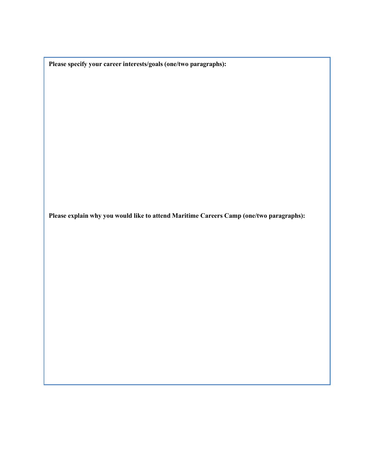**Please specify your career interests/goals (one/two paragraphs):**

**Please explain why you would like to attend Maritime Careers Camp (one/two paragraphs):**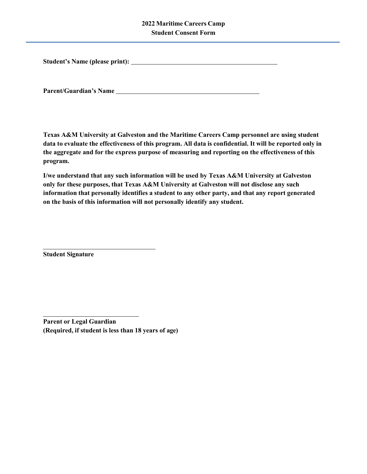#### **2022 Maritime Careers Camp Student Consent Form**

**Student's Name (please print):**

**Parent/Guardian's Name**

**Texas A&M University at Galveston and the Maritime Careers Camp personnel are using student**  data to evaluate the effectiveness of this program. All data is confidential. It will be reported only in **the aggregate and for the express purpose of measuring and reporting on the effectiveness of this program.**

**I/we understand that any such information will be used by Texas A&M University at Galveston only for these purposes, that Texas A&M University at Galveston will not disclose any such information that personally identifies a student to any other party, and that any report generated on the basis of this information will not personally identify any student.**

**Student Signature**

**Parent or Legal Guardian (Required, if student is less than 18 years of age)**